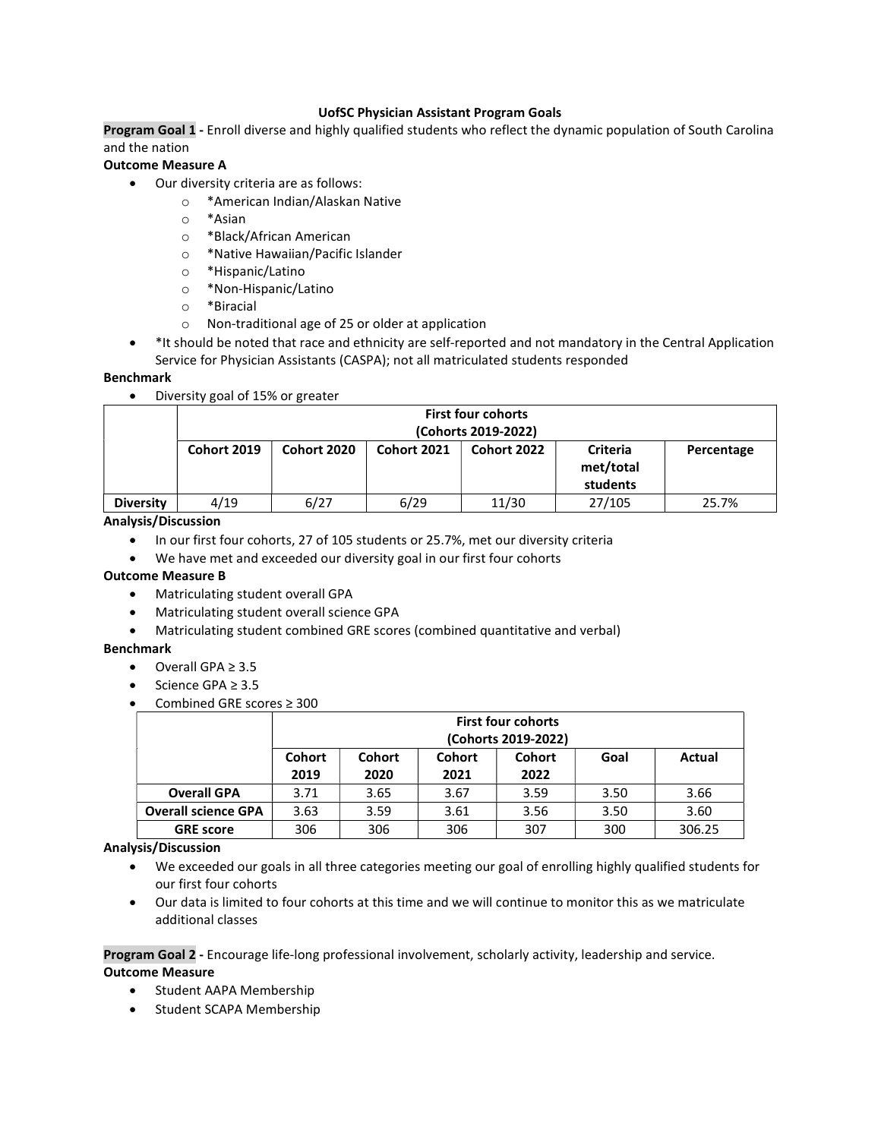# UofSC Physician Assistant Program Goals

Program Goal 1 - Enroll diverse and highly qualified students who reflect the dynamic population of South Carolina and the nation

# Outcome Measure A

- Our diversity criteria are as follows:
	- o \*American Indian/Alaskan Native
	- o \*Asian
	- o \*Black/African American
	- o \*Native Hawaiian/Pacific Islander
	- o \*Hispanic/Latino
	- o \*Non-Hispanic/Latino
	- o \*Biracial
	- o Non-traditional age of 25 or older at application
- \*It should be noted that race and ethnicity are self-reported and not mandatory in the Central Application Service for Physician Assistants (CASPA); not all matriculated students responded

# Benchmark

Diversity goal of 15% or greater

|                  | <b>First four cohorts</b><br>(Cohorts 2019-2022) |                    |                    |             |                                          |            |  |  |  |
|------------------|--------------------------------------------------|--------------------|--------------------|-------------|------------------------------------------|------------|--|--|--|
|                  | Cohort 2019                                      | <b>Cohort 2020</b> | <b>Cohort 2021</b> | Cohort 2022 | <b>Criteria</b><br>met/total<br>students | Percentage |  |  |  |
| <b>Diversity</b> | 4/19                                             | 6/27               | 6/29               | 11/30       | 27/105                                   | 25.7%      |  |  |  |

## Analysis/Discussion

- In our first four cohorts, 27 of 105 students or 25.7%, met our diversity criteria
- We have met and exceeded our diversity goal in our first four cohorts

# Outcome Measure B

- Matriculating student overall GPA
- Matriculating student overall science GPA
- Matriculating student combined GRE scores (combined quantitative and verbal)

# Benchmark

- $\bullet$  Overall GPA  $\geq 3.5$
- Science GPA ≥ 3.5
- Combined GRE scores ≥ 300

|                            | <b>First four cohorts</b>    |                                                     |      |      |      |        |  |  |  |  |  |
|----------------------------|------------------------------|-----------------------------------------------------|------|------|------|--------|--|--|--|--|--|
|                            |                              | (Cohorts 2019-2022)                                 |      |      |      |        |  |  |  |  |  |
|                            | <b>Cohort</b>                | <b>Cohort</b><br>Cohort<br>Cohort<br>Actual<br>Goal |      |      |      |        |  |  |  |  |  |
|                            | 2019<br>2021<br>2022<br>2020 |                                                     |      |      |      |        |  |  |  |  |  |
| <b>Overall GPA</b>         | 3.71                         | 3.65                                                | 3.67 | 3.59 | 3.50 | 3.66   |  |  |  |  |  |
| <b>Overall science GPA</b> | 3.63                         | 3.59                                                | 3.61 | 3.56 | 3.50 | 3.60   |  |  |  |  |  |
| <b>GRE score</b>           | 306                          | 306                                                 | 306  | 307  | 300  | 306.25 |  |  |  |  |  |

# Analysis/Discussion

- We exceeded our goals in all three categories meeting our goal of enrolling highly qualified students for our first four cohorts
- Our data is limited to four cohorts at this time and we will continue to monitor this as we matriculate additional classes

## Program Goal 2 - Encourage life-long professional involvement, scholarly activity, leadership and service. Outcome Measure

- **•** Student AAPA Membership
- Student SCAPA Membership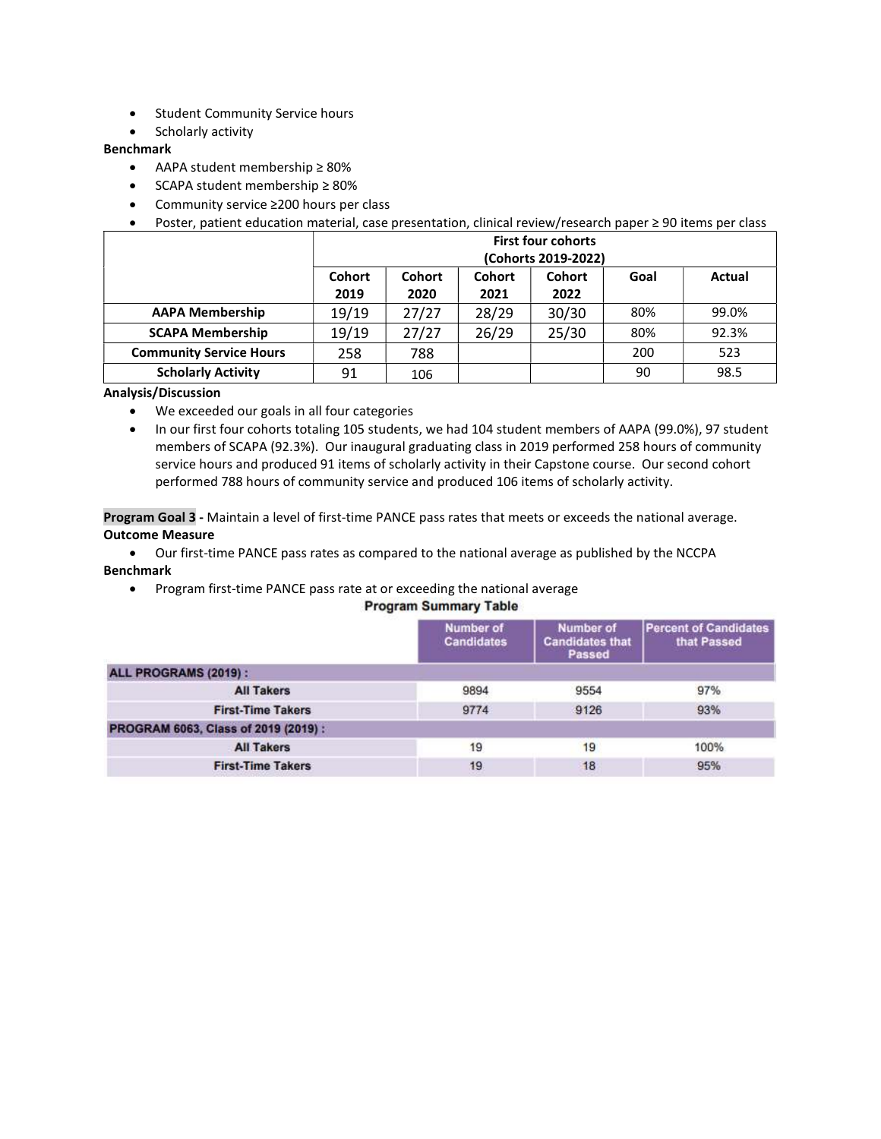- **•** Student Community Service hours
- Scholarly activity

## Benchmark

- AAPA student membership ≥ 80%
- SCAPA student membership ≥ 80%
- Community service ≥200 hours per class
- Poster, patient education material, case presentation, clinical review/research paper ≥ 90 items per class

|                                | <b>First four cohorts</b><br>(Cohorts 2019-2022)                                    |       |       |       |     |       |  |  |  |  |
|--------------------------------|-------------------------------------------------------------------------------------|-------|-------|-------|-----|-------|--|--|--|--|
|                                | Cohort<br>Cohort<br>Cohort<br><b>Cohort</b><br>Goal<br>2019<br>2020<br>2021<br>2022 |       |       |       |     |       |  |  |  |  |
| <b>AAPA Membership</b>         | 19/19                                                                               | 27/27 | 28/29 | 30/30 | 80% | 99.0% |  |  |  |  |
| <b>SCAPA Membership</b>        | 19/19                                                                               | 27/27 | 26/29 | 25/30 | 80% | 92.3% |  |  |  |  |
| <b>Community Service Hours</b> | 258                                                                                 | 788   |       |       | 200 | 523   |  |  |  |  |
| <b>Scholarly Activity</b>      | 91                                                                                  | 106   |       |       | 90  | 98.5  |  |  |  |  |

Analysis/Discussion

- We exceeded our goals in all four categories
- In our first four cohorts totaling 105 students, we had 104 student members of AAPA (99.0%), 97 student members of SCAPA (92.3%). Our inaugural graduating class in 2019 performed 258 hours of community service hours and produced 91 items of scholarly activity in their Capstone course. Our second cohort performed 788 hours of community service and produced 106 items of scholarly activity.

Program Goal 3 - Maintain a level of first-time PANCE pass rates that meets or exceeds the national average. Outcome Measure

- Our first-time PANCE pass rates as compared to the national average as published by the NCCPA Benchmark
	- Program first-time PANCE pass rate at or exceeding the national average

# **Program Summary Table**

|                                     | <b>Number of</b><br><b>Candidates</b> | <b>Number of</b><br><b>Candidates that</b><br>Passed | <b>Percent of Candidates</b><br>that Passed |  |  |  |  |
|-------------------------------------|---------------------------------------|------------------------------------------------------|---------------------------------------------|--|--|--|--|
| ALL PROGRAMS (2019):                |                                       |                                                      |                                             |  |  |  |  |
| <b>All Takers</b>                   | 9894                                  | 9554                                                 | 97%                                         |  |  |  |  |
| <b>First-Time Takers</b>            | 9774                                  | 9126                                                 | 93%                                         |  |  |  |  |
| PROGRAM 6063, Class of 2019 (2019): |                                       |                                                      |                                             |  |  |  |  |
| <b>All Takers</b>                   | 19                                    | 19                                                   | 100%                                        |  |  |  |  |
| <b>First-Time Takers</b>            | 19                                    | 18                                                   | 95%                                         |  |  |  |  |
|                                     |                                       |                                                      |                                             |  |  |  |  |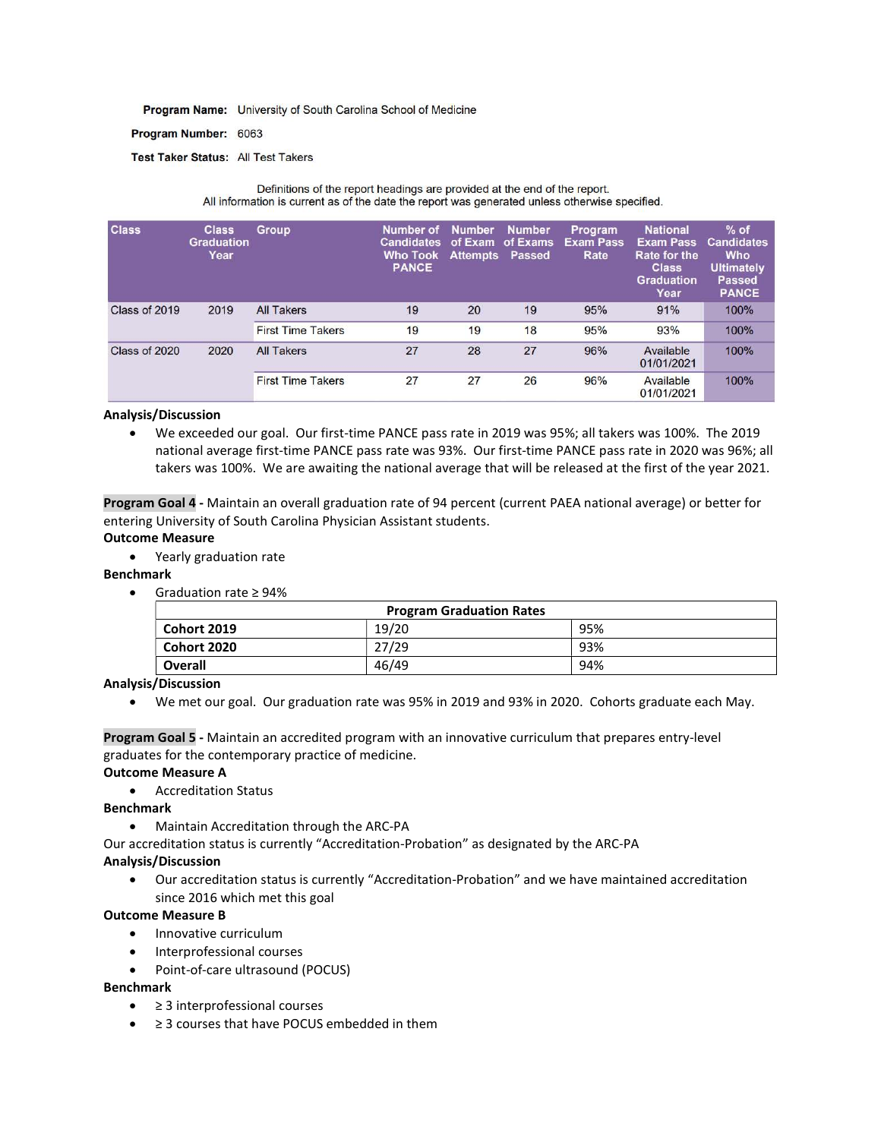Program Name: University of South Carolina School of Medicine

Program Number: 6063

Test Taker Status: All Test Takers

| Definitions of the report headings are provided at the end of the report.<br>All information is current as of the date the report was generated unless otherwise specified. |                                           |                          |                                                                   |                                             |                                            |                                            |                                                                                                         |                                                                                                 |
|-----------------------------------------------------------------------------------------------------------------------------------------------------------------------------|-------------------------------------------|--------------------------|-------------------------------------------------------------------|---------------------------------------------|--------------------------------------------|--------------------------------------------|---------------------------------------------------------------------------------------------------------|-------------------------------------------------------------------------------------------------|
| <b>Class</b>                                                                                                                                                                | <b>Class</b><br><b>Graduation</b><br>Year | <b>Group</b>             | Number of<br><b>Candidates</b><br><b>Who Took</b><br><b>PANCE</b> | <b>Number</b><br>of Exam<br><b>Attempts</b> | <b>Number</b><br>of Exams<br><b>Passed</b> | <b>Program</b><br><b>Exam Pass</b><br>Rate | <b>National</b><br><b>Exam Pass</b><br><b>Rate for the</b><br><b>Class</b><br><b>Graduation</b><br>Year | $%$ of<br><b>Candidates</b><br><b>Who</b><br><b>Ultimately</b><br><b>Passed</b><br><b>PANCE</b> |
| Class of 2019                                                                                                                                                               | 2019                                      | <b>All Takers</b>        | 19                                                                | 20                                          | 19                                         | 95%                                        | 91%                                                                                                     | 100%                                                                                            |
|                                                                                                                                                                             |                                           | <b>First Time Takers</b> | 19                                                                | 19                                          | 18                                         | 95%                                        | 93%                                                                                                     | 100%                                                                                            |
| Class of 2020                                                                                                                                                               | 2020                                      | <b>All Takers</b>        | 27                                                                | 28                                          | 27                                         | 96%                                        | Available<br>01/01/2021                                                                                 | 100%                                                                                            |
|                                                                                                                                                                             |                                           | <b>First Time Takers</b> | 27                                                                | 27                                          | 26                                         | 96%                                        | Available<br>01/01/2021                                                                                 | 100%                                                                                            |

## Analysis/Discussion

 We exceeded our goal. Our first-time PANCE pass rate in 2019 was 95%; all takers was 100%. The 2019 national average first-time PANCE pass rate was 93%. Our first-time PANCE pass rate in 2020 was 96%; all takers was 100%. We are awaiting the national average that will be released at the first of the year 2021.

Program Goal 4 - Maintain an overall graduation rate of 94 percent (current PAEA national average) or better for entering University of South Carolina Physician Assistant students.

## Outcome Measure

Yearly graduation rate

Benchmark

Graduation rate ≥ 94%

| <b>Program Graduation Rates</b> |       |     |  |  |  |  |
|---------------------------------|-------|-----|--|--|--|--|
| Cohort 2019                     | 19/20 | 95% |  |  |  |  |
| Cohort 2020                     | 27/29 | 93% |  |  |  |  |
| Overall                         | 46/49 | 94% |  |  |  |  |

## Analysis/Discussion

We met our goal. Our graduation rate was 95% in 2019 and 93% in 2020. Cohorts graduate each May.

Program Goal 5 - Maintain an accredited program with an innovative curriculum that prepares entry-level graduates for the contemporary practice of medicine.

## Outcome Measure A

Accreditation Status

#### Benchmark

- Maintain Accreditation through the ARC-PA
- Our accreditation status is currently "Accreditation-Probation" as designated by the ARC-PA

#### Analysis/Discussion

 Our accreditation status is currently "Accreditation-Probation" and we have maintained accreditation since 2016 which met this goal

#### Outcome Measure B

- Innovative curriculum
- Interprofessional courses
- Point-of-care ultrasound (POCUS)

# Benchmark

- ≥ 3 interprofessional courses
- ≥ 3 courses that have POCUS embedded in them